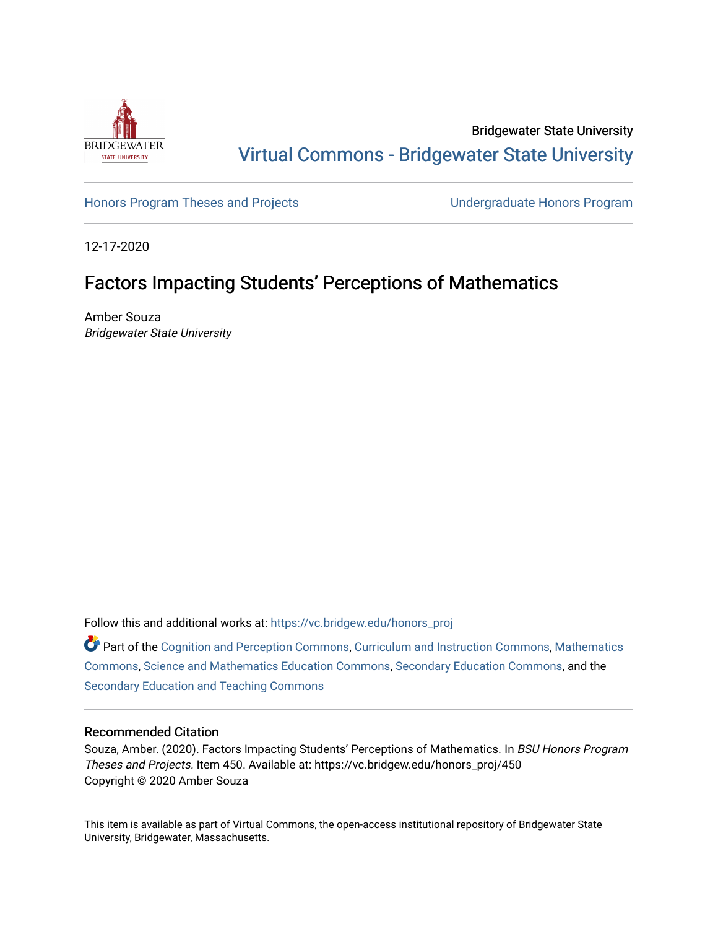

Bridgewater State University [Virtual Commons - Bridgewater State University](https://vc.bridgew.edu/) 

[Honors Program Theses and Projects](https://vc.bridgew.edu/honors_proj) [Undergraduate Honors Program](https://vc.bridgew.edu/honors) 

12-17-2020

# Factors Impacting Students' Perceptions of Mathematics

Amber Souza Bridgewater State University

Follow this and additional works at: [https://vc.bridgew.edu/honors\\_proj](https://vc.bridgew.edu/honors_proj?utm_source=vc.bridgew.edu%2Fhonors_proj%2F450&utm_medium=PDF&utm_campaign=PDFCoverPages)

 $\bullet$  Part of the [Cognition and Perception Commons,](http://network.bepress.com/hgg/discipline/407?utm_source=vc.bridgew.edu%2Fhonors_proj%2F450&utm_medium=PDF&utm_campaign=PDFCoverPages) [Curriculum and Instruction Commons,](http://network.bepress.com/hgg/discipline/786?utm_source=vc.bridgew.edu%2Fhonors_proj%2F450&utm_medium=PDF&utm_campaign=PDFCoverPages) Mathematics [Commons](http://network.bepress.com/hgg/discipline/174?utm_source=vc.bridgew.edu%2Fhonors_proj%2F450&utm_medium=PDF&utm_campaign=PDFCoverPages), [Science and Mathematics Education Commons,](http://network.bepress.com/hgg/discipline/800?utm_source=vc.bridgew.edu%2Fhonors_proj%2F450&utm_medium=PDF&utm_campaign=PDFCoverPages) [Secondary Education Commons,](http://network.bepress.com/hgg/discipline/1382?utm_source=vc.bridgew.edu%2Fhonors_proj%2F450&utm_medium=PDF&utm_campaign=PDFCoverPages) and the [Secondary Education and Teaching Commons](http://network.bepress.com/hgg/discipline/809?utm_source=vc.bridgew.edu%2Fhonors_proj%2F450&utm_medium=PDF&utm_campaign=PDFCoverPages)

### Recommended Citation

Souza, Amber. (2020). Factors Impacting Students' Perceptions of Mathematics. In BSU Honors Program Theses and Projects. Item 450. Available at: https://vc.bridgew.edu/honors\_proj/450 Copyright © 2020 Amber Souza

This item is available as part of Virtual Commons, the open-access institutional repository of Bridgewater State University, Bridgewater, Massachusetts.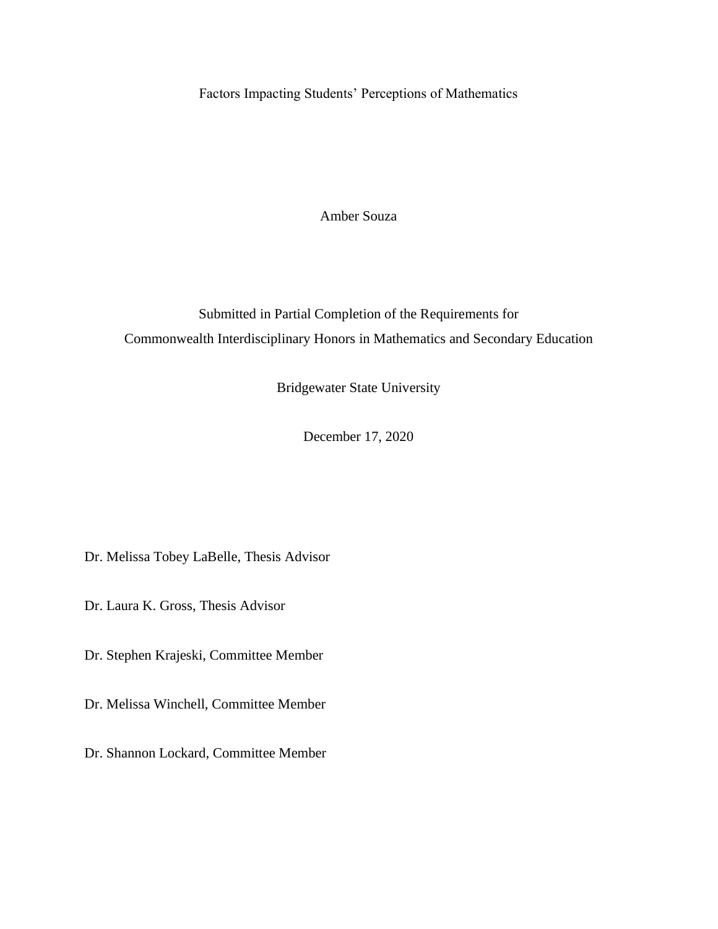Factors Impacting Students' Perceptions of Mathematics

Amber Souza

Submitted in Partial Completion of the Requirements for Commonwealth Interdisciplinary Honors in Mathematics and Secondary Education

Bridgewater State University

December 17, 2020

Dr. Melissa Tobey LaBelle, Thesis Advisor

Dr. Laura K. Gross, Thesis Advisor

Dr. Stephen Krajeski, Committee Member

Dr. Melissa Winchell, Committee Member

Dr. Shannon Lockard, Committee Member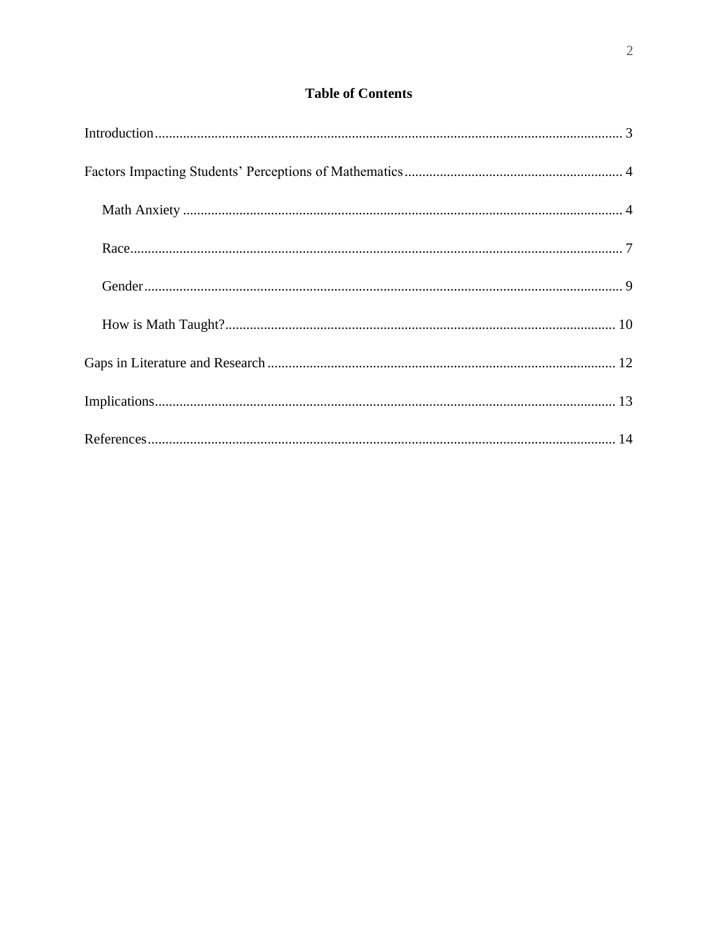## **Table of Contents**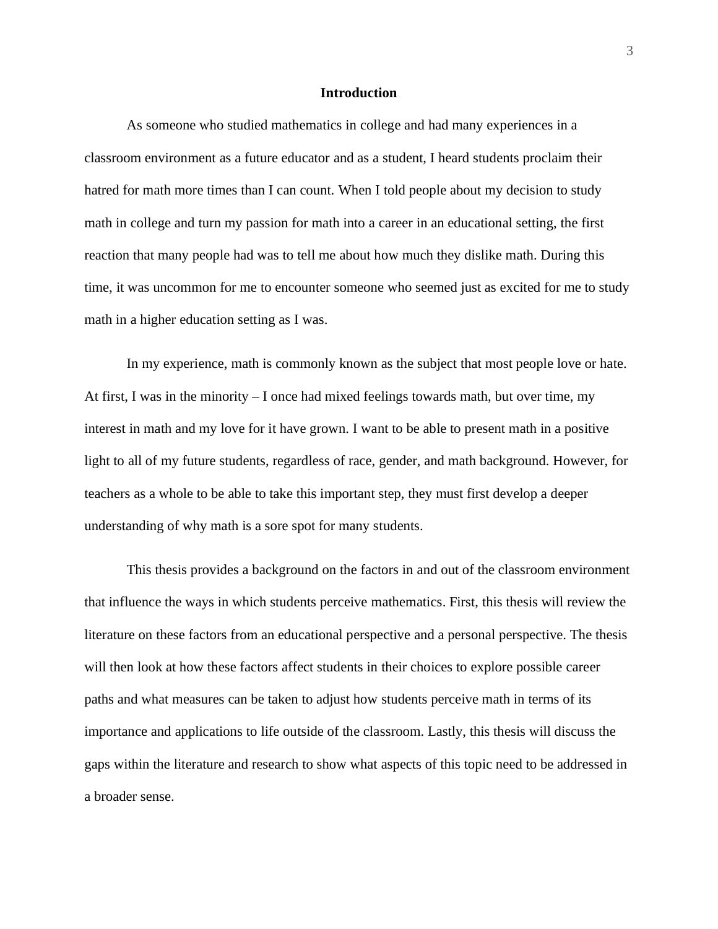#### **Introduction**

<span id="page-3-0"></span>As someone who studied mathematics in college and had many experiences in a classroom environment as a future educator and as a student, I heard students proclaim their hatred for math more times than I can count. When I told people about my decision to study math in college and turn my passion for math into a career in an educational setting, the first reaction that many people had was to tell me about how much they dislike math. During this time, it was uncommon for me to encounter someone who seemed just as excited for me to study math in a higher education setting as I was.

In my experience, math is commonly known as the subject that most people love or hate. At first, I was in the minority – I once had mixed feelings towards math, but over time, my interest in math and my love for it have grown. I want to be able to present math in a positive light to all of my future students, regardless of race, gender, and math background. However, for teachers as a whole to be able to take this important step, they must first develop a deeper understanding of why math is a sore spot for many students.

This thesis provides a background on the factors in and out of the classroom environment that influence the ways in which students perceive mathematics. First, this thesis will review the literature on these factors from an educational perspective and a personal perspective. The thesis will then look at how these factors affect students in their choices to explore possible career paths and what measures can be taken to adjust how students perceive math in terms of its importance and applications to life outside of the classroom. Lastly, this thesis will discuss the gaps within the literature and research to show what aspects of this topic need to be addressed in a broader sense.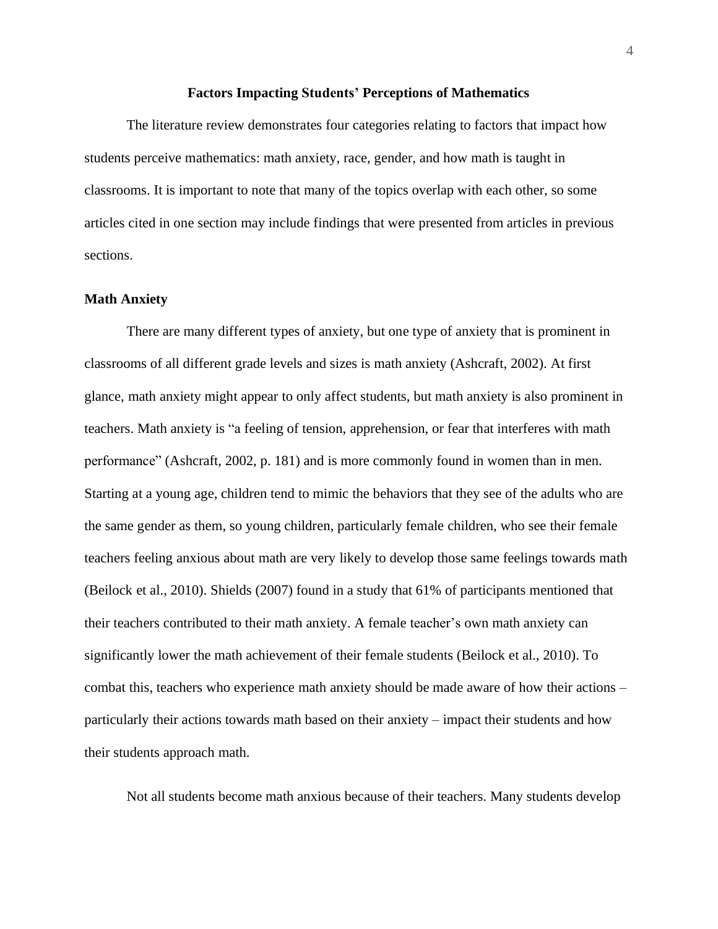#### **Factors Impacting Students' Perceptions of Mathematics**

<span id="page-4-0"></span>The literature review demonstrates four categories relating to factors that impact how students perceive mathematics: math anxiety, race, gender, and how math is taught in classrooms. It is important to note that many of the topics overlap with each other, so some articles cited in one section may include findings that were presented from articles in previous sections.

#### <span id="page-4-1"></span>**Math Anxiety**

There are many different types of anxiety, but one type of anxiety that is prominent in classrooms of all different grade levels and sizes is math anxiety (Ashcraft, 2002). At first glance, math anxiety might appear to only affect students, but math anxiety is also prominent in teachers. Math anxiety is "a feeling of tension, apprehension, or fear that interferes with math performance" (Ashcraft, 2002, p. 181) and is more commonly found in women than in men. Starting at a young age, children tend to mimic the behaviors that they see of the adults who are the same gender as them, so young children, particularly female children, who see their female teachers feeling anxious about math are very likely to develop those same feelings towards math (Beilock et al., 2010). Shields (2007) found in a study that 61% of participants mentioned that their teachers contributed to their math anxiety. A female teacher's own math anxiety can significantly lower the math achievement of their female students (Beilock et al., 2010). To combat this, teachers who experience math anxiety should be made aware of how their actions – particularly their actions towards math based on their anxiety – impact their students and how their students approach math.

Not all students become math anxious because of their teachers. Many students develop

4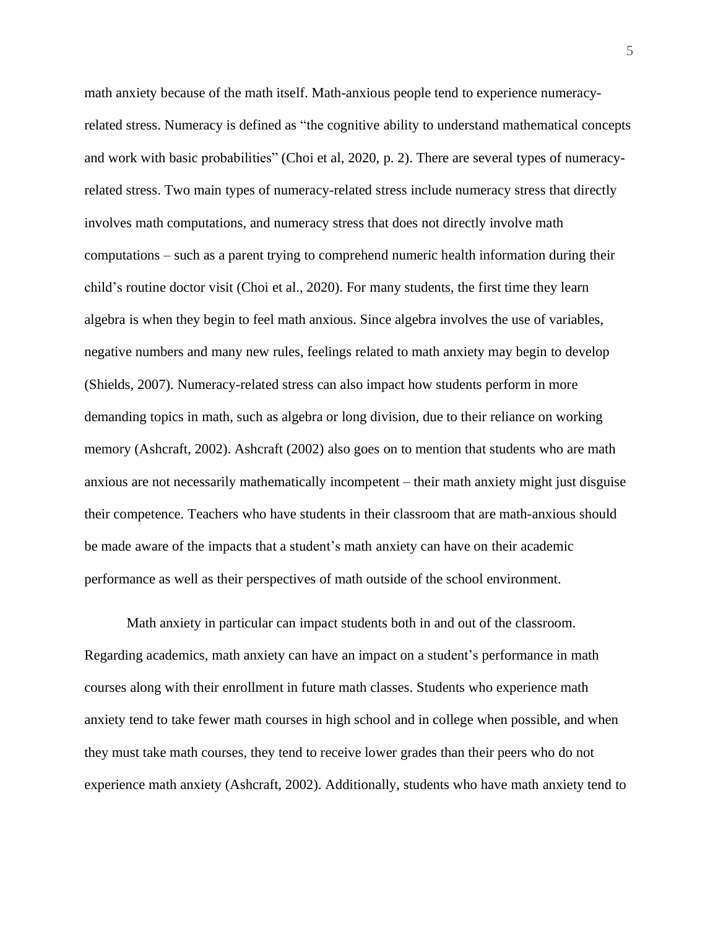math anxiety because of the math itself. Math-anxious people tend to experience numeracyrelated stress. Numeracy is defined as "the cognitive ability to understand mathematical concepts and work with basic probabilities" (Choi et al, 2020, p. 2). There are several types of numeracyrelated stress. Two main types of numeracy-related stress include numeracy stress that directly involves math computations, and numeracy stress that does not directly involve math computations – such as a parent trying to comprehend numeric health information during their child's routine doctor visit (Choi et al., 2020). For many students, the first time they learn algebra is when they begin to feel math anxious. Since algebra involves the use of variables, negative numbers and many new rules, feelings related to math anxiety may begin to develop (Shields, 2007). Numeracy-related stress can also impact how students perform in more demanding topics in math, such as algebra or long division, due to their reliance on working memory (Ashcraft, 2002). Ashcraft (2002) also goes on to mention that students who are math anxious are not necessarily mathematically incompetent – their math anxiety might just disguise their competence. Teachers who have students in their classroom that are math-anxious should be made aware of the impacts that a student's math anxiety can have on their academic performance as well as their perspectives of math outside of the school environment.

Math anxiety in particular can impact students both in and out of the classroom. Regarding academics, math anxiety can have an impact on a student's performance in math courses along with their enrollment in future math classes. Students who experience math anxiety tend to take fewer math courses in high school and in college when possible, and when they must take math courses, they tend to receive lower grades than their peers who do not experience math anxiety (Ashcraft, 2002). Additionally, students who have math anxiety tend to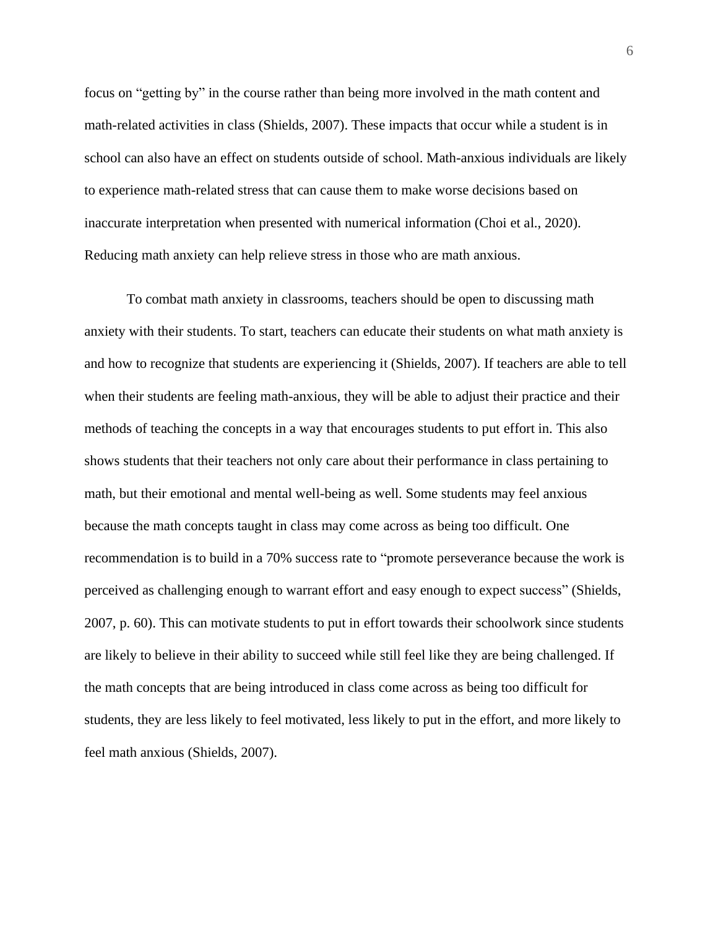focus on "getting by" in the course rather than being more involved in the math content and math-related activities in class (Shields, 2007). These impacts that occur while a student is in school can also have an effect on students outside of school. Math-anxious individuals are likely to experience math-related stress that can cause them to make worse decisions based on inaccurate interpretation when presented with numerical information (Choi et al., 2020). Reducing math anxiety can help relieve stress in those who are math anxious.

To combat math anxiety in classrooms, teachers should be open to discussing math anxiety with their students. To start, teachers can educate their students on what math anxiety is and how to recognize that students are experiencing it (Shields, 2007). If teachers are able to tell when their students are feeling math-anxious, they will be able to adjust their practice and their methods of teaching the concepts in a way that encourages students to put effort in. This also shows students that their teachers not only care about their performance in class pertaining to math, but their emotional and mental well-being as well. Some students may feel anxious because the math concepts taught in class may come across as being too difficult. One recommendation is to build in a 70% success rate to "promote perseverance because the work is perceived as challenging enough to warrant effort and easy enough to expect success" (Shields, 2007, p. 60). This can motivate students to put in effort towards their schoolwork since students are likely to believe in their ability to succeed while still feel like they are being challenged. If the math concepts that are being introduced in class come across as being too difficult for students, they are less likely to feel motivated, less likely to put in the effort, and more likely to feel math anxious (Shields, 2007).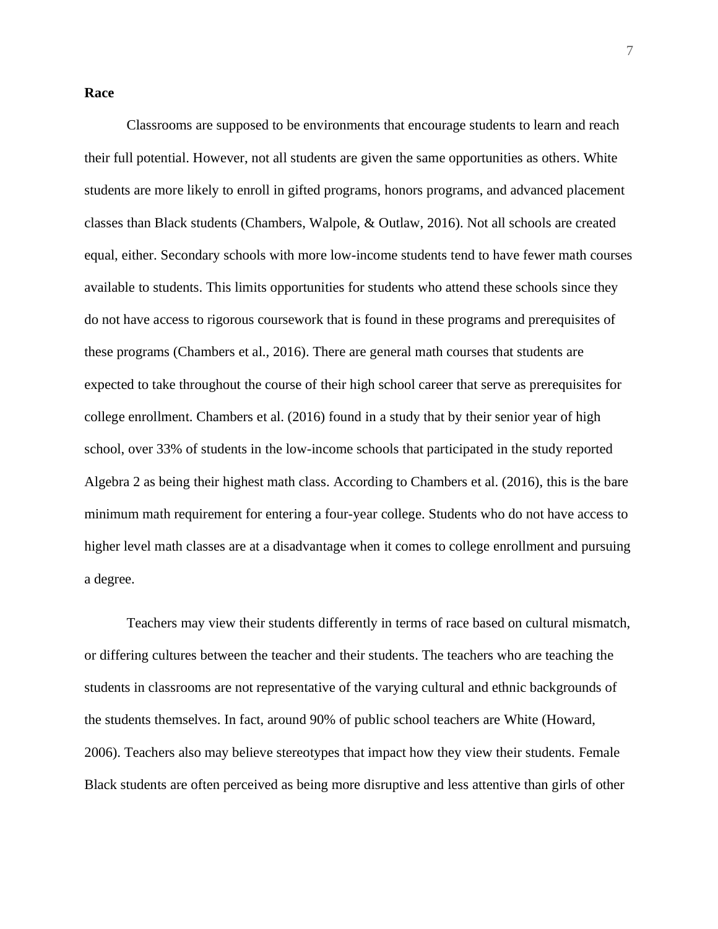#### <span id="page-7-0"></span>**Race**

Classrooms are supposed to be environments that encourage students to learn and reach their full potential. However, not all students are given the same opportunities as others. White students are more likely to enroll in gifted programs, honors programs, and advanced placement classes than Black students (Chambers, Walpole, & Outlaw, 2016). Not all schools are created equal, either. Secondary schools with more low-income students tend to have fewer math courses available to students. This limits opportunities for students who attend these schools since they do not have access to rigorous coursework that is found in these programs and prerequisites of these programs (Chambers et al., 2016). There are general math courses that students are expected to take throughout the course of their high school career that serve as prerequisites for college enrollment. Chambers et al. (2016) found in a study that by their senior year of high school, over 33% of students in the low-income schools that participated in the study reported Algebra 2 as being their highest math class. According to Chambers et al. (2016), this is the bare minimum math requirement for entering a four-year college. Students who do not have access to higher level math classes are at a disadvantage when it comes to college enrollment and pursuing a degree.

Teachers may view their students differently in terms of race based on cultural mismatch, or differing cultures between the teacher and their students. The teachers who are teaching the students in classrooms are not representative of the varying cultural and ethnic backgrounds of the students themselves. In fact, around 90% of public school teachers are White (Howard, 2006). Teachers also may believe stereotypes that impact how they view their students. Female Black students are often perceived as being more disruptive and less attentive than girls of other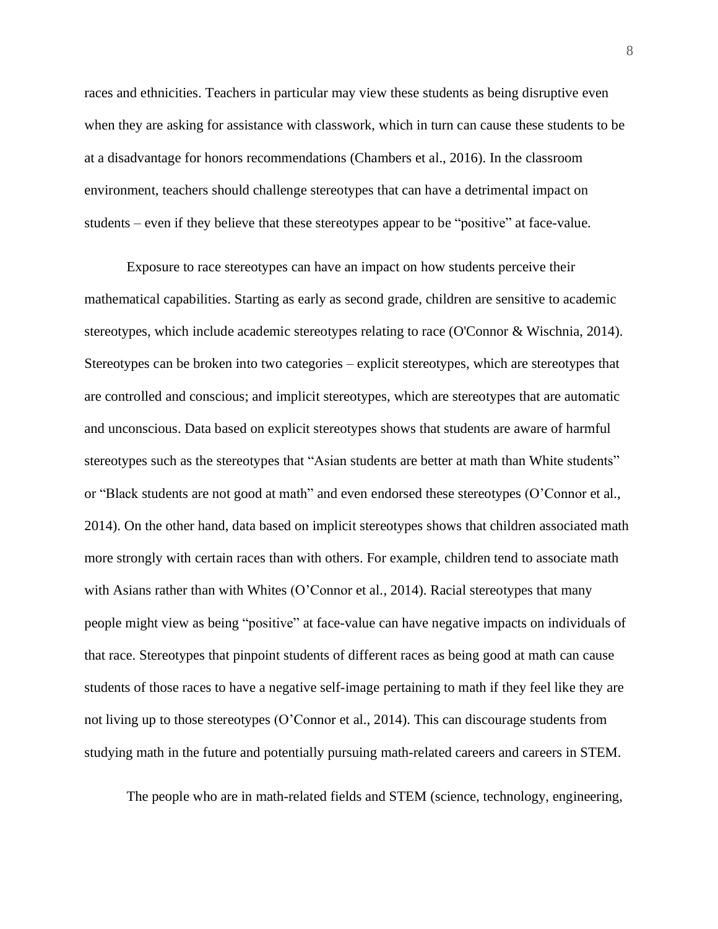races and ethnicities. Teachers in particular may view these students as being disruptive even when they are asking for assistance with classwork, which in turn can cause these students to be at a disadvantage for honors recommendations (Chambers et al., 2016). In the classroom environment, teachers should challenge stereotypes that can have a detrimental impact on students – even if they believe that these stereotypes appear to be "positive" at face-value.

Exposure to race stereotypes can have an impact on how students perceive their mathematical capabilities. Starting as early as second grade, children are sensitive to academic stereotypes, which include academic stereotypes relating to race (O'Connor & Wischnia, 2014). Stereotypes can be broken into two categories – explicit stereotypes, which are stereotypes that are controlled and conscious; and implicit stereotypes, which are stereotypes that are automatic and unconscious. Data based on explicit stereotypes shows that students are aware of harmful stereotypes such as the stereotypes that "Asian students are better at math than White students" or "Black students are not good at math" and even endorsed these stereotypes (O'Connor et al., 2014). On the other hand, data based on implicit stereotypes shows that children associated math more strongly with certain races than with others. For example, children tend to associate math with Asians rather than with Whites (O'Connor et al., 2014). Racial stereotypes that many people might view as being "positive" at face-value can have negative impacts on individuals of that race. Stereotypes that pinpoint students of different races as being good at math can cause students of those races to have a negative self-image pertaining to math if they feel like they are not living up to those stereotypes (O'Connor et al., 2014). This can discourage students from studying math in the future and potentially pursuing math-related careers and careers in STEM.

The people who are in math-related fields and STEM (science, technology, engineering,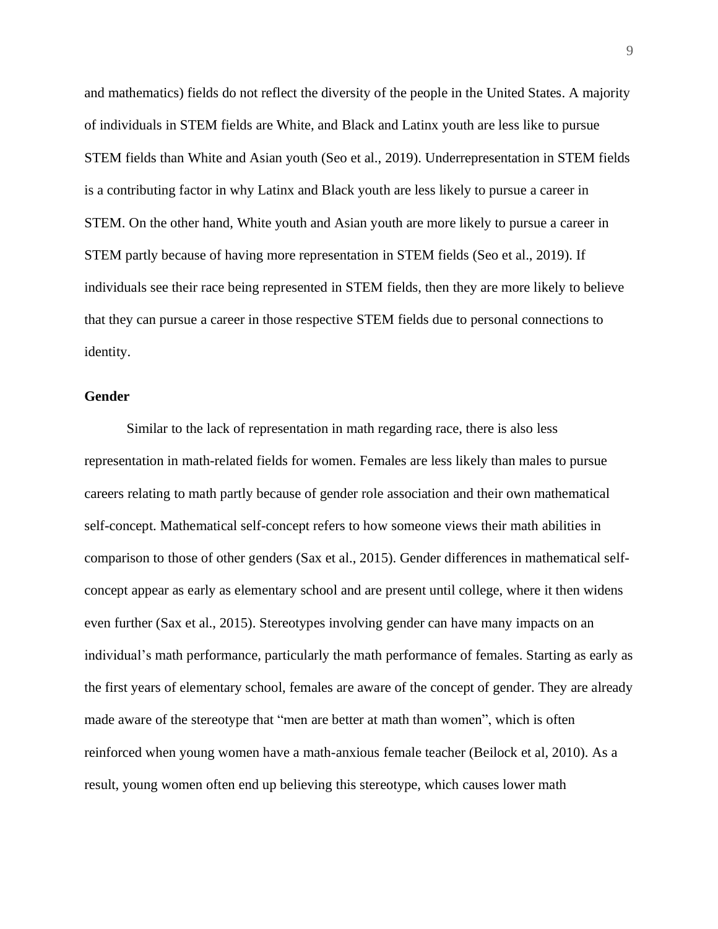and mathematics) fields do not reflect the diversity of the people in the United States. A majority of individuals in STEM fields are White, and Black and Latinx youth are less like to pursue STEM fields than White and Asian youth (Seo et al., 2019). Underrepresentation in STEM fields is a contributing factor in why Latinx and Black youth are less likely to pursue a career in STEM. On the other hand, White youth and Asian youth are more likely to pursue a career in STEM partly because of having more representation in STEM fields (Seo et al., 2019). If individuals see their race being represented in STEM fields, then they are more likely to believe that they can pursue a career in those respective STEM fields due to personal connections to identity.

#### <span id="page-9-0"></span>**Gender**

Similar to the lack of representation in math regarding race, there is also less representation in math-related fields for women. Females are less likely than males to pursue careers relating to math partly because of gender role association and their own mathematical self-concept. Mathematical self-concept refers to how someone views their math abilities in comparison to those of other genders (Sax et al., 2015). Gender differences in mathematical selfconcept appear as early as elementary school and are present until college, where it then widens even further (Sax et al., 2015). Stereotypes involving gender can have many impacts on an individual's math performance, particularly the math performance of females. Starting as early as the first years of elementary school, females are aware of the concept of gender. They are already made aware of the stereotype that "men are better at math than women", which is often reinforced when young women have a math-anxious female teacher (Beilock et al, 2010). As a result, young women often end up believing this stereotype, which causes lower math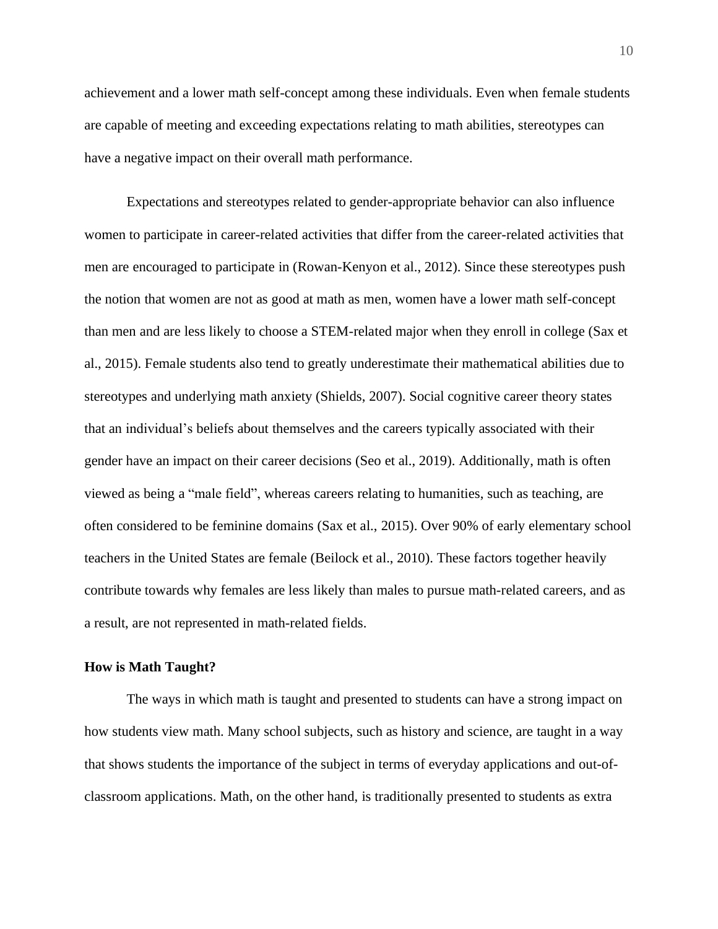achievement and a lower math self-concept among these individuals. Even when female students are capable of meeting and exceeding expectations relating to math abilities, stereotypes can have a negative impact on their overall math performance.

Expectations and stereotypes related to gender-appropriate behavior can also influence women to participate in career-related activities that differ from the career-related activities that men are encouraged to participate in (Rowan-Kenyon et al., 2012). Since these stereotypes push the notion that women are not as good at math as men, women have a lower math self-concept than men and are less likely to choose a STEM-related major when they enroll in college (Sax et al., 2015). Female students also tend to greatly underestimate their mathematical abilities due to stereotypes and underlying math anxiety (Shields, 2007). Social cognitive career theory states that an individual's beliefs about themselves and the careers typically associated with their gender have an impact on their career decisions (Seo et al., 2019). Additionally, math is often viewed as being a "male field", whereas careers relating to humanities, such as teaching, are often considered to be feminine domains (Sax et al., 2015). Over 90% of early elementary school teachers in the United States are female (Beilock et al., 2010). These factors together heavily contribute towards why females are less likely than males to pursue math-related careers, and as a result, are not represented in math-related fields.

#### <span id="page-10-0"></span>**How is Math Taught?**

The ways in which math is taught and presented to students can have a strong impact on how students view math. Many school subjects, such as history and science, are taught in a way that shows students the importance of the subject in terms of everyday applications and out-ofclassroom applications. Math, on the other hand, is traditionally presented to students as extra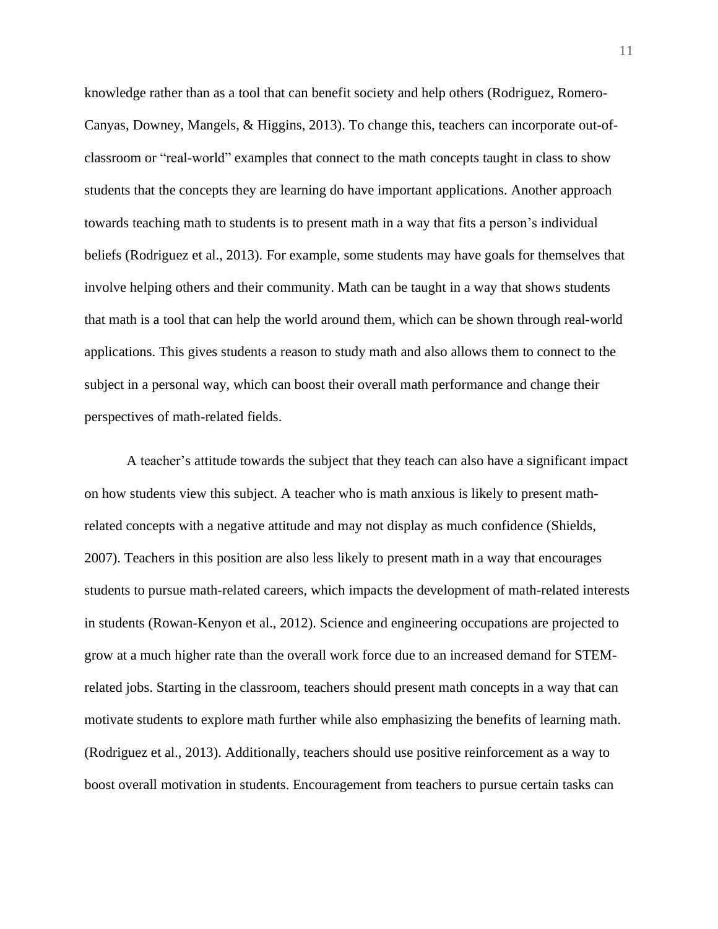knowledge rather than as a tool that can benefit society and help others (Rodriguez, Romero-Canyas, Downey, Mangels, & Higgins, 2013). To change this, teachers can incorporate out-ofclassroom or "real-world" examples that connect to the math concepts taught in class to show students that the concepts they are learning do have important applications. Another approach towards teaching math to students is to present math in a way that fits a person's individual beliefs (Rodriguez et al., 2013). For example, some students may have goals for themselves that involve helping others and their community. Math can be taught in a way that shows students that math is a tool that can help the world around them, which can be shown through real-world applications. This gives students a reason to study math and also allows them to connect to the subject in a personal way, which can boost their overall math performance and change their perspectives of math-related fields.

A teacher's attitude towards the subject that they teach can also have a significant impact on how students view this subject. A teacher who is math anxious is likely to present mathrelated concepts with a negative attitude and may not display as much confidence (Shields, 2007). Teachers in this position are also less likely to present math in a way that encourages students to pursue math-related careers, which impacts the development of math-related interests in students (Rowan-Kenyon et al., 2012). Science and engineering occupations are projected to grow at a much higher rate than the overall work force due to an increased demand for STEMrelated jobs. Starting in the classroom, teachers should present math concepts in a way that can motivate students to explore math further while also emphasizing the benefits of learning math. (Rodriguez et al., 2013). Additionally, teachers should use positive reinforcement as a way to boost overall motivation in students. Encouragement from teachers to pursue certain tasks can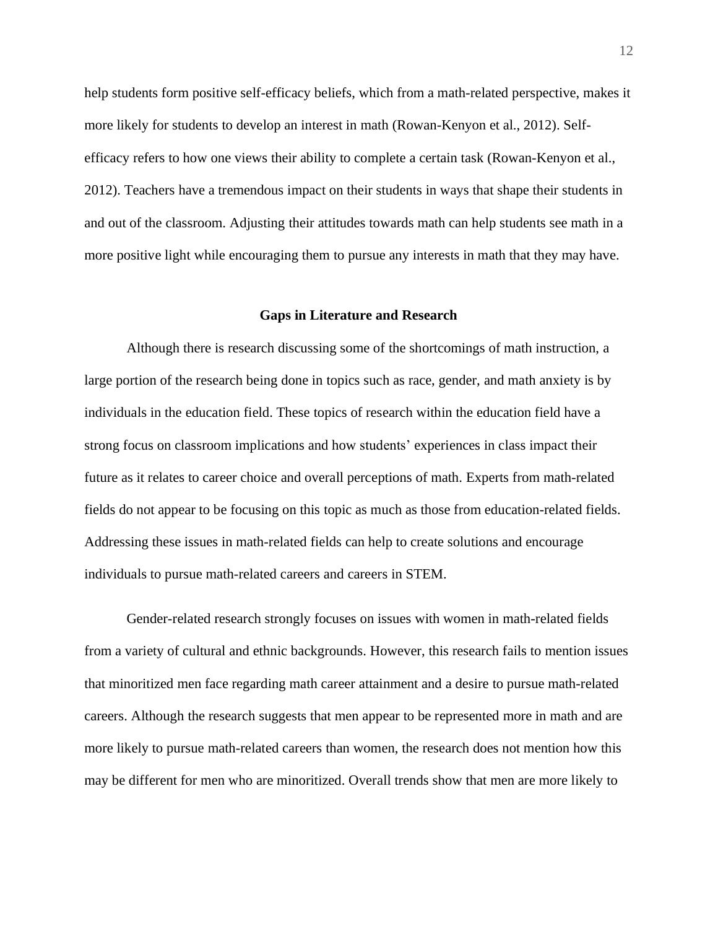help students form positive self-efficacy beliefs, which from a math-related perspective, makes it more likely for students to develop an interest in math (Rowan-Kenyon et al., 2012). Selfefficacy refers to how one views their ability to complete a certain task (Rowan-Kenyon et al., 2012). Teachers have a tremendous impact on their students in ways that shape their students in and out of the classroom. Adjusting their attitudes towards math can help students see math in a more positive light while encouraging them to pursue any interests in math that they may have.

#### **Gaps in Literature and Research**

<span id="page-12-0"></span>Although there is research discussing some of the shortcomings of math instruction, a large portion of the research being done in topics such as race, gender, and math anxiety is by individuals in the education field. These topics of research within the education field have a strong focus on classroom implications and how students' experiences in class impact their future as it relates to career choice and overall perceptions of math. Experts from math-related fields do not appear to be focusing on this topic as much as those from education-related fields. Addressing these issues in math-related fields can help to create solutions and encourage individuals to pursue math-related careers and careers in STEM.

Gender-related research strongly focuses on issues with women in math-related fields from a variety of cultural and ethnic backgrounds. However, this research fails to mention issues that minoritized men face regarding math career attainment and a desire to pursue math-related careers. Although the research suggests that men appear to be represented more in math and are more likely to pursue math-related careers than women, the research does not mention how this may be different for men who are minoritized. Overall trends show that men are more likely to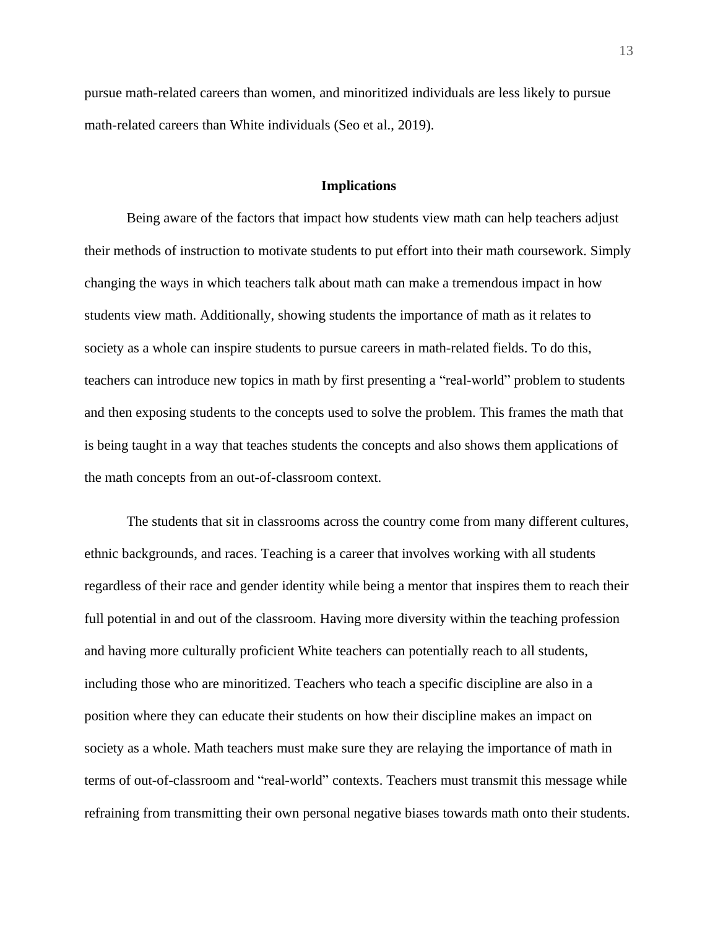pursue math-related careers than women, and minoritized individuals are less likely to pursue math-related careers than White individuals (Seo et al., 2019).

#### **Implications**

<span id="page-13-0"></span>Being aware of the factors that impact how students view math can help teachers adjust their methods of instruction to motivate students to put effort into their math coursework. Simply changing the ways in which teachers talk about math can make a tremendous impact in how students view math. Additionally, showing students the importance of math as it relates to society as a whole can inspire students to pursue careers in math-related fields. To do this, teachers can introduce new topics in math by first presenting a "real-world" problem to students and then exposing students to the concepts used to solve the problem. This frames the math that is being taught in a way that teaches students the concepts and also shows them applications of the math concepts from an out-of-classroom context.

The students that sit in classrooms across the country come from many different cultures, ethnic backgrounds, and races. Teaching is a career that involves working with all students regardless of their race and gender identity while being a mentor that inspires them to reach their full potential in and out of the classroom. Having more diversity within the teaching profession and having more culturally proficient White teachers can potentially reach to all students, including those who are minoritized. Teachers who teach a specific discipline are also in a position where they can educate their students on how their discipline makes an impact on society as a whole. Math teachers must make sure they are relaying the importance of math in terms of out-of-classroom and "real-world" contexts. Teachers must transmit this message while refraining from transmitting their own personal negative biases towards math onto their students.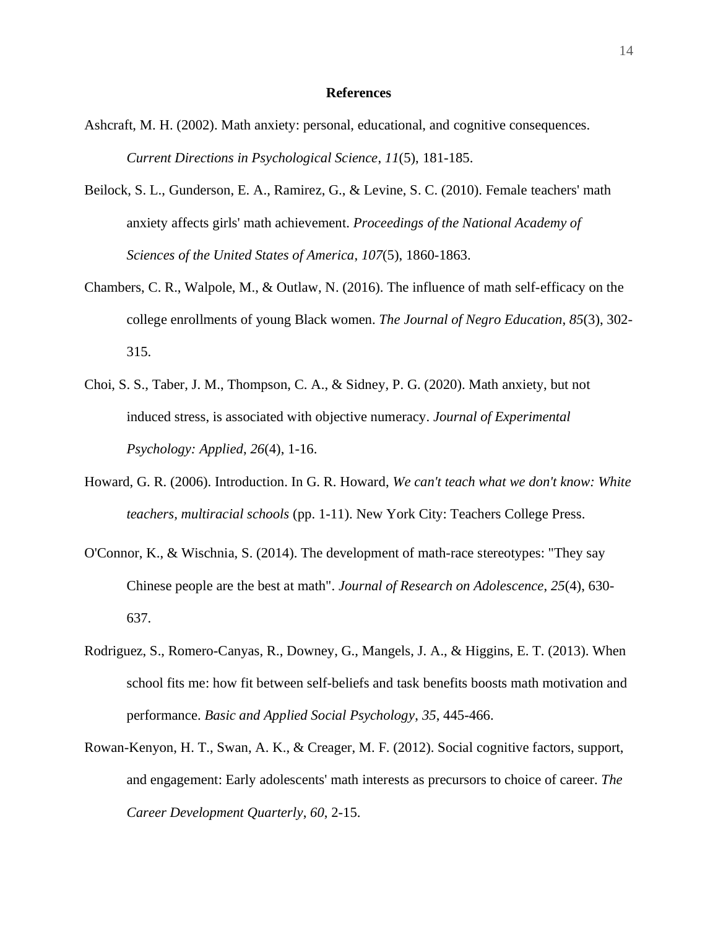#### **References**

- <span id="page-14-0"></span>Ashcraft, M. H. (2002). Math anxiety: personal, educational, and cognitive consequences. *Current Directions in Psychological Science*, *11*(5), 181-185.
- Beilock, S. L., Gunderson, E. A., Ramirez, G., & Levine, S. C. (2010). Female teachers' math anxiety affects girls' math achievement. *Proceedings of the National Academy of Sciences of the United States of America*, *107*(5), 1860-1863.
- Chambers, C. R., Walpole, M., & Outlaw, N. (2016). The influence of math self-efficacy on the college enrollments of young Black women. *The Journal of Negro Education*, *85*(3), 302- 315.
- Choi, S. S., Taber, J. M., Thompson, C. A., & Sidney, P. G. (2020). Math anxiety, but not induced stress, is associated with objective numeracy. *Journal of Experimental Psychology: Applied*, *26*(4), 1-16.
- Howard, G. R. (2006). Introduction. In G. R. Howard, *We can't teach what we don't know: White teachers, multiracial schools* (pp. 1-11). New York City: Teachers College Press.
- O'Connor, K., & Wischnia, S. (2014). The development of math-race stereotypes: "They say Chinese people are the best at math". *Journal of Research on Adolescence*, *25*(4), 630- 637.
- Rodriguez, S., Romero-Canyas, R., Downey, G., Mangels, J. A., & Higgins, E. T. (2013). When school fits me: how fit between self-beliefs and task benefits boosts math motivation and performance. *Basic and Applied Social Psychology*, *35*, 445-466.
- Rowan-Kenyon, H. T., Swan, A. K., & Creager, M. F. (2012). Social cognitive factors, support, and engagement: Early adolescents' math interests as precursors to choice of career. *The Career Development Quarterly*, *60*, 2-15.